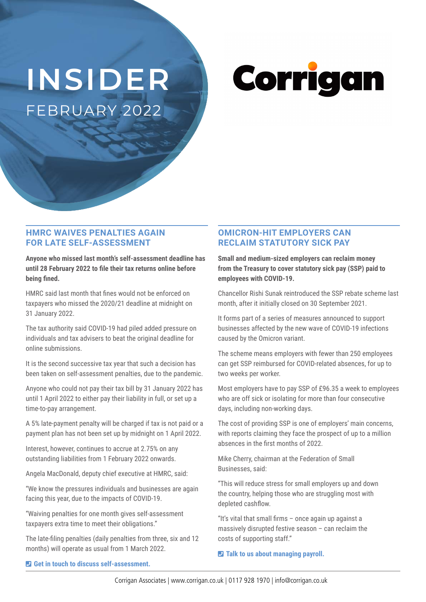# **INSIDER** FEBRUARY 2022

Corrigan

#### **HMRC WAIVES PENALTIES AGAIN FOR LATE SELF-ASSESSMENT**

**Anyone who missed last month's self-assessment deadline has until 28 February 2022 to file their tax returns online before being fined.**

HMRC said last month that fines would not be enforced on taxpayers who missed the 2020/21 deadline at midnight on 31 January 2022.

The tax authority said COVID-19 had piled added pressure on individuals and tax advisers to beat the original deadline for online submissions.

It is the second successive tax year that such a decision has been taken on self-assessment penalties, due to the pandemic.

Anyone who could not pay their tax bill by 31 January 2022 has until 1 April 2022 to either pay their liability in full, or set up a time-to-pay arrangement.

A 5% late-payment penalty will be charged if tax is not paid or a payment plan has not been set up by midnight on 1 April 2022.

Interest, however, continues to accrue at 2.75% on any outstanding liabilities from 1 February 2022 onwards.

Angela MacDonald, deputy chief executive at HMRC, said:

"We know the pressures individuals and businesses are again facing this year, due to the impacts of COVID-19.

"Waiving penalties for one month gives self-assessment taxpayers extra time to meet their obligations."

The late-filing penalties (daily penalties from three, six and 12 months) will operate as usual from 1 March 2022.

## **OMICRON-HIT EMPLOYERS CAN RECLAIM STATUTORY SICK PAY**

**Small and medium-sized employers can reclaim money from the Treasury to cover statutory sick pay (SSP) paid to employees with COVID-19.**

Chancellor Rishi Sunak reintroduced the SSP rebate scheme last month, after it initially closed on 30 September 2021.

It forms part of a series of measures announced to support businesses affected by the new wave of COVID-19 infections caused by the Omicron variant.

The scheme means employers with fewer than 250 employees can get SSP reimbursed for COVID-related absences, for up to two weeks per worker.

Most employers have to pay SSP of £96.35 a week to employees who are off sick or isolating for more than four consecutive days, including non-working days.

The cost of providing SSP is one of employers' main concerns, with reports claiming they face the prospect of up to a million absences in the first months of 2022.

Mike Cherry, chairman at the Federation of Small Businesses, said:

"This will reduce stress for small employers up and down the country, helping those who are struggling most with depleted cashflow.

"It's vital that small firms – once again up against a massively disrupted festive season – can reclaim the costs of supporting staff."

 $\blacksquare$  Talk to us about managing payroll.

¶ **Get in touch to discuss self-assessment.**